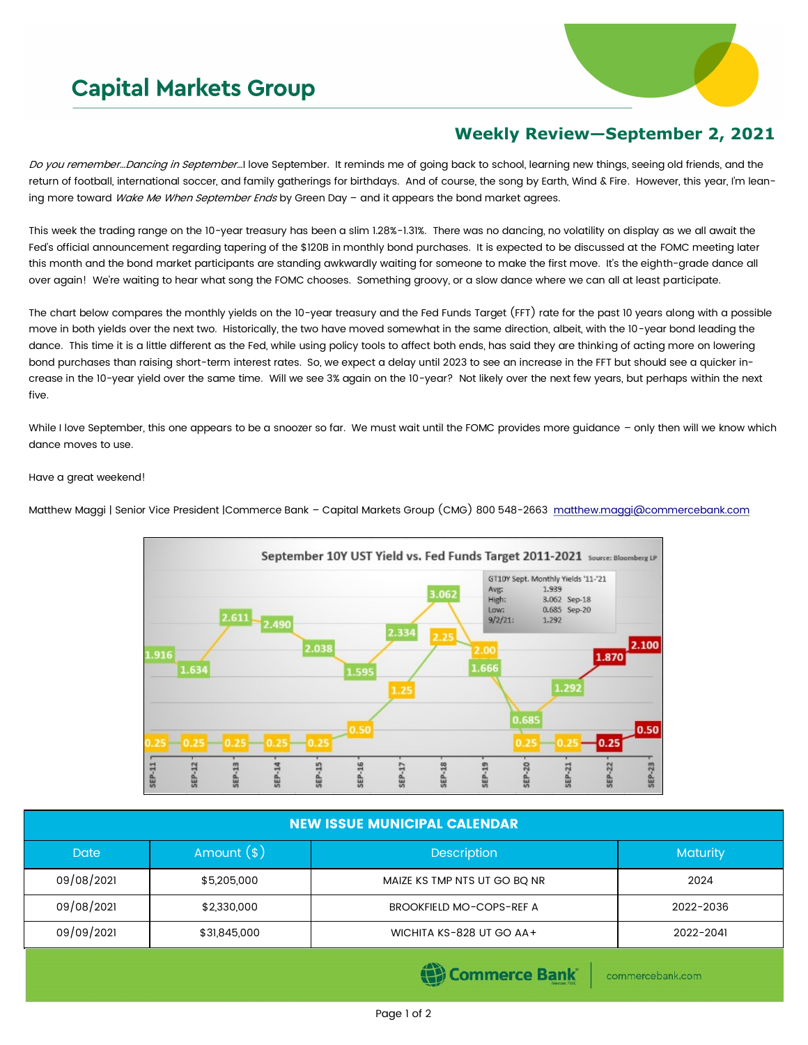## **Capital Markets Group**



## **Weekly Review—September 2, 2021**

Do you remember...Dancing in September...I love September. It reminds me of going back to school, learning new things, seeing old friends, and the return of football, international soccer, and family gatherings for birthdays. And of course, the song by Earth, Wind & Fire. However, this year, I'm leaning more toward Wake Me When September Ends by Green Day - and it appears the bond market agrees.

This week the trading range on the 10-year treasury has been a slim 1.28%-1.31%. There was no dancing, no volatility on display as we all await the Fed's official announcement regarding tapering of the \$120B in monthly bond purchases. It is expected to be discussed at the FOMC meeting later this month and the bond market participants are standing awkwardly waiting for someone to make the first move. It's the eighth-grade dance all over again! We're waiting to hear what song the FOMC chooses. Something groovy, or a slow dance where we can all at least participate.

The chart below compares the monthly yields on the 10-year treasury and the Fed Funds Target (FFT) rate for the past 10 years along with a possible move in both yields over the next two. Historically, the two have moved somewhat in the same direction, albeit, with the 10-year bond leading the dance. This time it is a little different as the Fed, while using policy tools to affect both ends, has said they are thinking of acting more on lowering bond purchases than raising short-term interest rates. So, we expect a delay until 2023 to see an increase in the FFT but should see a quicker increase in the 10-year yield over the same time. Will we see 3% again on the 10-year? Not likely over the next few years, but perhaps within the next five.

While I love September, this one appears to be a snoozer so far. We must wait until the FOMC provides more guidance - only then will we know which dance moves to use.

## Have a great weekend!



Matthew Maggi | Senior Vice President |Commerce Bank - Capital Markets Group (CMG) 800 548-2663 [matthew.maggi@commercebank.com](mailto:matthew.maggi@commercebank.com)

| <b>NEW ISSUE MUNICIPAL CALENDAR</b>   |              |                                 |           |  |  |
|---------------------------------------|--------------|---------------------------------|-----------|--|--|
| <b>Date</b>                           | Amount $(*)$ | <b>Description</b>              | Maturity  |  |  |
| 09/08/2021                            | \$5,205,000  | MAIZE KS TMP NTS UT GO BQ NR    | 2024      |  |  |
| 09/08/2021                            | \$2,330,000  | <b>BROOKFIELD MO-COPS-REF A</b> | 2022-2036 |  |  |
| 09/09/2021                            | \$31,845,000 | WICHITA KS-828 UT GO AA+        | 2022-2041 |  |  |
| (B) Commerce Bank<br>commercebank.com |              |                                 |           |  |  |